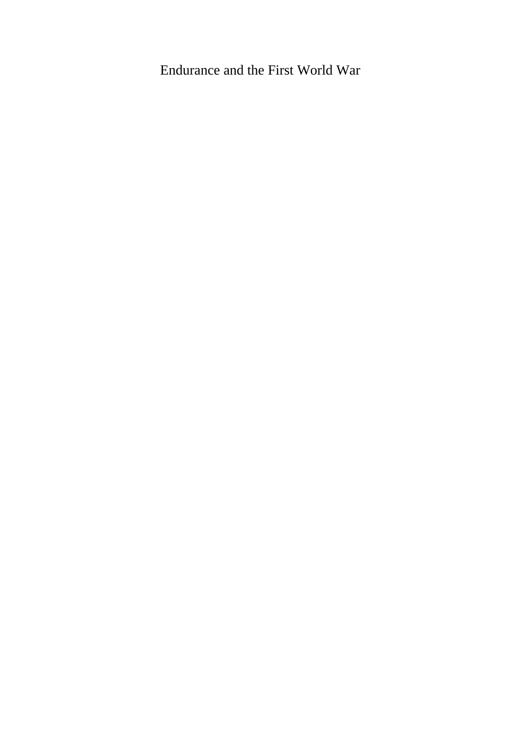# Endurance and the First World War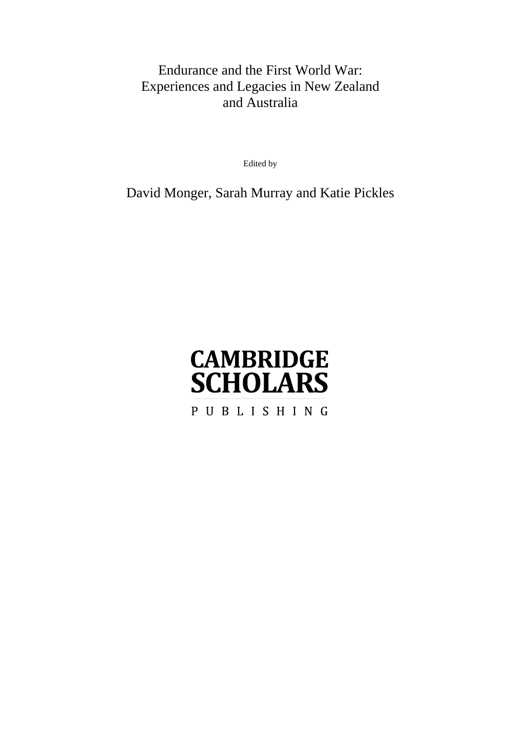# Endurance and the First World War: Experiences and Legacies in New Zealand and Australia

Edited by

David Monger, Sarah Murray and Katie Pickles

# **CAMBRIDGE SCHOLARS**

PUBLISHING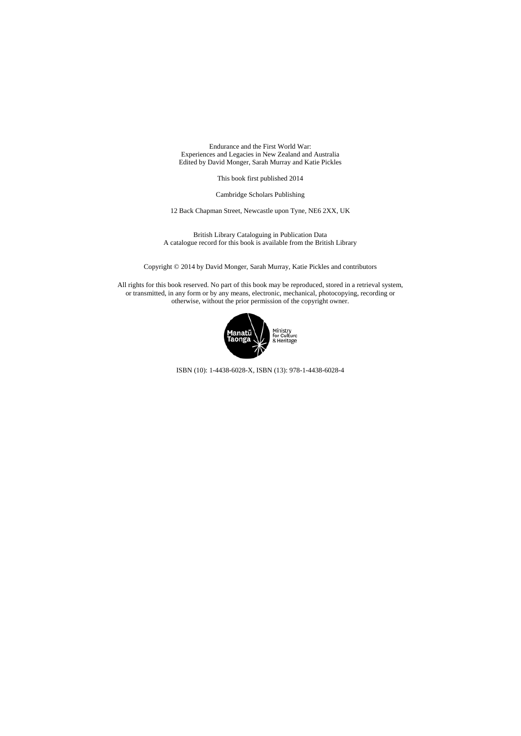Endurance and the First World War: Experiences and Legacies in New Zealand and Australia Edited by David Monger, Sarah Murray and Katie Pickles

This book first published 2014

Cambridge Scholars Publishing

12 Back Chapman Street, Newcastle upon Tyne, NE6 2XX, UK

British Library Cataloguing in Publication Data A catalogue record for this book is available from the British Library

Copyright © 2014 by David Monger, Sarah Murray, Katie Pickles and contributors

All rights for this book reserved. No part of this book may be reproduced, stored in a retrieval system, or transmitted, in any form or by any means, electronic, mechanical, photocopying, recording or otherwise, without the prior permission of the copyright owner.



ISBN (10): 1-4438-6028-X, ISBN (13): 978-1-4438-6028-4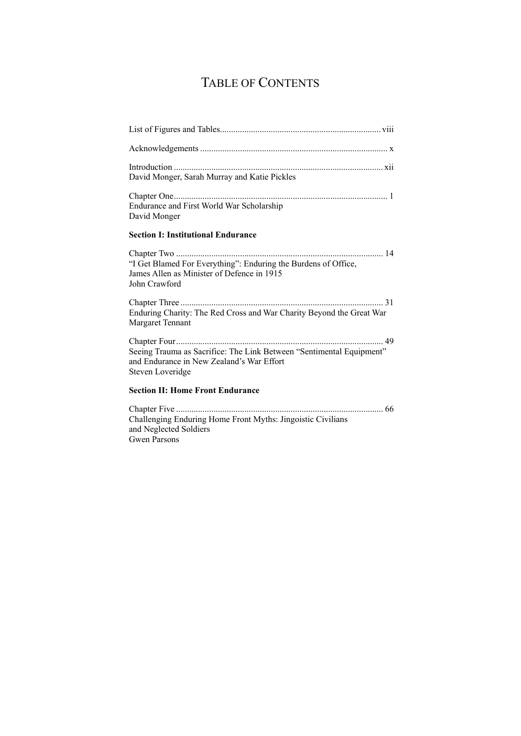# TABLE OF CONTENTS

| David Monger, Sarah Murray and Katie Pickles                                                                                                 |
|----------------------------------------------------------------------------------------------------------------------------------------------|
| Endurance and First World War Scholarship<br>David Monger                                                                                    |
| <b>Section I: Institutional Endurance</b>                                                                                                    |
| "I Get Blamed For Everything": Enduring the Burdens of Office,<br>James Allen as Minister of Defence in 1915<br>John Crawford                |
|                                                                                                                                              |
| Enduring Charity: The Red Cross and War Charity Beyond the Great War<br><b>Margaret Tennant</b>                                              |
|                                                                                                                                              |
| Seeing Trauma as Sacrifice: The Link Between "Sentimental Equipment"<br>and Endurance in New Zealand's War Effort<br><b>Steven Loveridge</b> |
| <b>Section II: Home Front Endurance</b>                                                                                                      |
|                                                                                                                                              |
| Challenging Enduring Home Front Myths: Jingoistic Civilians<br>and Neglected Soldiers                                                        |

Gwen Parsons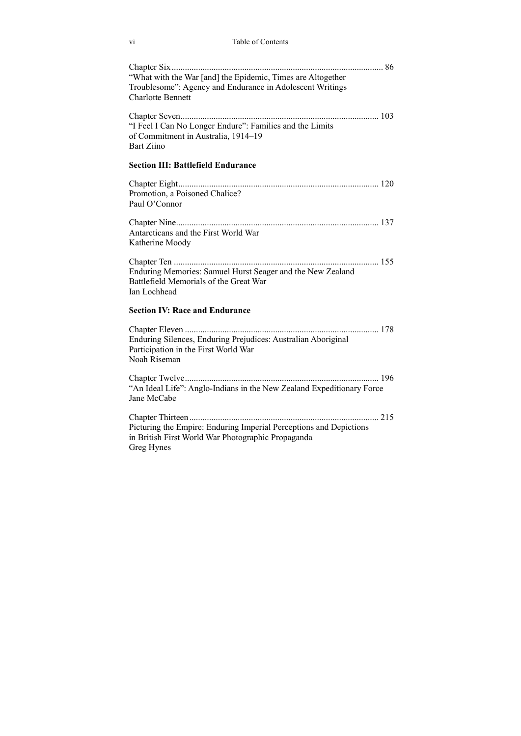#### vi Table of Contents

| "What with the War [and] the Epidemic, Times are Altogether<br>Troublesome": Agency and Endurance in Adolescent Writings<br><b>Charlotte Bennett</b> |  |
|------------------------------------------------------------------------------------------------------------------------------------------------------|--|
| "I Feel I Can No Longer Endure": Families and the Limits<br>of Commitment in Australia, 1914-19<br><b>Bart Ziino</b>                                 |  |
| <b>Section III: Battlefield Endurance</b>                                                                                                            |  |
| Promotion, a Poisoned Chalice?<br>Paul O'Connor                                                                                                      |  |
| Antarcticans and the First World War<br>Katherine Moody                                                                                              |  |
| Enduring Memories: Samuel Hurst Seager and the New Zealand<br>Battlefield Memorials of the Great War<br>Ian Lochhead                                 |  |
| <b>Section IV: Race and Endurance</b>                                                                                                                |  |
| Enduring Silences, Enduring Prejudices: Australian Aboriginal<br>Participation in the First World War<br>Noah Riseman                                |  |
| "An Ideal Life": Anglo-Indians in the New Zealand Expeditionary Force<br>Jane McCabe                                                                 |  |
| Picturing the Empire: Enduring Imperial Perceptions and Depictions<br>in British First World War Photographic Propaganda<br>Greg Hynes               |  |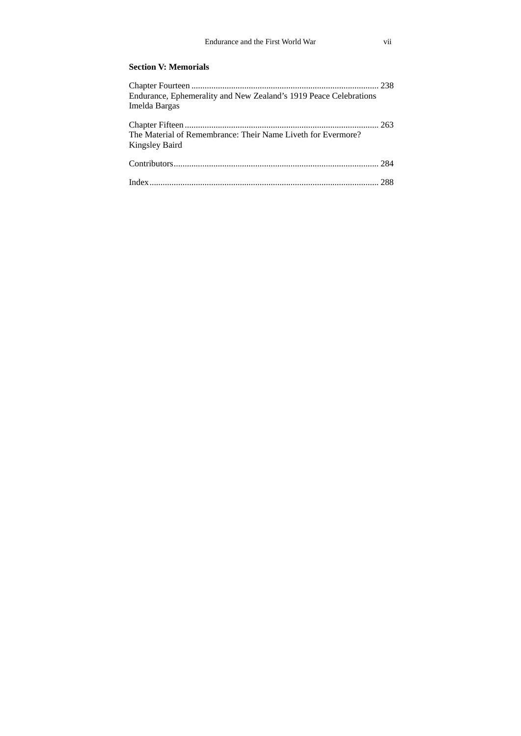#### **Section V: Memorials**

| Endurance, Ephemerality and New Zealand's 1919 Peace Celebrations              |  |
|--------------------------------------------------------------------------------|--|
| Imelda Bargas                                                                  |  |
| The Material of Remembrance: Their Name Liveth for Evermore?<br>Kingsley Baird |  |
|                                                                                |  |
|                                                                                |  |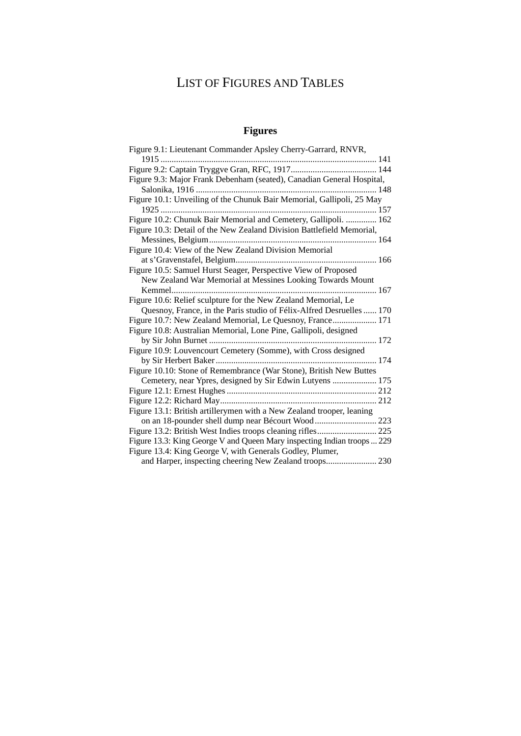# LIST OF FIGURES AND TABLES

### **Figures**

| Figure 9.1: Lieutenant Commander Apsley Cherry-Garrard, RNVR,           |
|-------------------------------------------------------------------------|
|                                                                         |
|                                                                         |
| Figure 9.3: Major Frank Debenham (seated), Canadian General Hospital,   |
|                                                                         |
| Figure 10.1: Unveiling of the Chunuk Bair Memorial, Gallipoli, 25 May   |
|                                                                         |
| Figure 10.2: Chunuk Bair Memorial and Cemetery, Gallipoli.  162         |
| Figure 10.3: Detail of the New Zealand Division Battlefield Memorial,   |
|                                                                         |
| Figure 10.4: View of the New Zealand Division Memorial                  |
|                                                                         |
| Figure 10.5: Samuel Hurst Seager, Perspective View of Proposed          |
| New Zealand War Memorial at Messines Looking Towards Mount              |
|                                                                         |
| Figure 10.6: Relief sculpture for the New Zealand Memorial, Le          |
| Quesnoy, France, in the Paris studio of Félix-Alfred Desruelles  170    |
| Figure 10.7: New Zealand Memorial, Le Quesnoy, France 171               |
| Figure 10.8: Australian Memorial, Lone Pine, Gallipoli, designed        |
|                                                                         |
| Figure 10.9: Louvencourt Cemetery (Somme), with Cross designed          |
|                                                                         |
| Figure 10.10: Stone of Remembrance (War Stone), British New Buttes      |
| Cemetery, near Ypres, designed by Sir Edwin Lutyens  175                |
|                                                                         |
|                                                                         |
| Figure 13.1: British artillerymen with a New Zealand trooper, leaning   |
|                                                                         |
|                                                                         |
| Figure 13.3: King George V and Queen Mary inspecting Indian troops  229 |
| Figure 13.4: King George V, with Generals Godley, Plumer,               |
| and Harper, inspecting cheering New Zealand troops 230                  |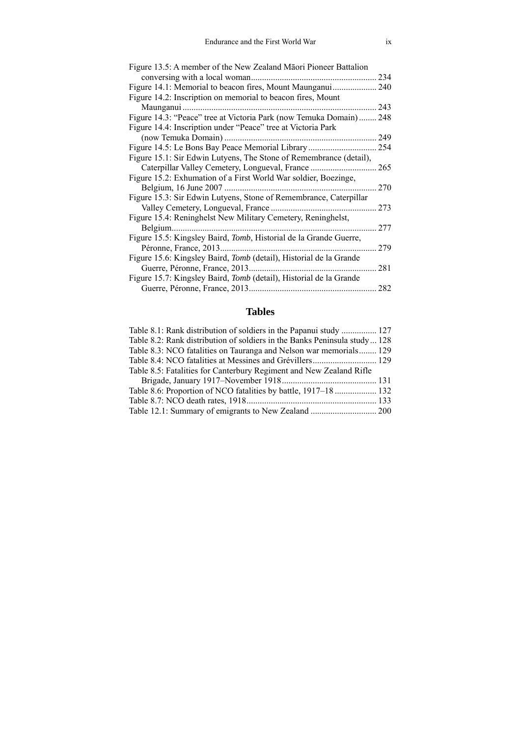| Figure 13.5: A member of the New Zealand Māori Pioneer Battalion          |     |
|---------------------------------------------------------------------------|-----|
| conversing with a local woman.                                            | 234 |
| Figure 14.1: Memorial to beacon fires, Mount Maunganui                    | 240 |
| Figure 14.2: Inscription on memorial to beacon fires, Mount               |     |
| Maunganui                                                                 | 243 |
| Figure 14.3: "Peace" tree at Victoria Park (now Temuka Domain)            | 248 |
| Figure 14.4: Inscription under "Peace" tree at Victoria Park              |     |
| (now Temuka Domain).                                                      | 249 |
|                                                                           | 254 |
| Figure 15.1: Sir Edwin Lutyens, The Stone of Remembrance (detail),        |     |
| Caterpillar Valley Cemetery, Longueval, France                            | 265 |
| Figure 15.2: Exhumation of a First World War soldier, Boezinge,           |     |
| Belgium, 16 June 2007                                                     | 270 |
| Figure 15.3: Sir Edwin Lutyens, Stone of Remembrance, Caterpillar         |     |
| Valley Cemetery, Longueval, France                                        | 273 |
| Figure 15.4: Reninghelst New Military Cemetery, Reninghelst,              |     |
| Belgium.                                                                  | 277 |
| Figure 15.5: Kingsley Baird, <i>Tomb</i> , Historial de la Grande Guerre, |     |
| Péronne, France, 2013.                                                    | 279 |
| Figure 15.6: Kingsley Baird, Tomb (detail), Historial de la Grande        |     |
| Guerre, Péronne, France, 2013.                                            | 281 |
| Figure 15.7: Kingsley Baird, Tomb (detail), Historial de la Grande        |     |
| Guerre, Péronne, France, 2013.                                            | 282 |
|                                                                           |     |

#### **Tables**

| Table 8.1: Rank distribution of soldiers in the Papanui study  127        |  |
|---------------------------------------------------------------------------|--|
| Table 8.2: Rank distribution of soldiers in the Banks Peninsula study 128 |  |
| Table 8.3: NCO fatalities on Tauranga and Nelson war memorials 129        |  |
|                                                                           |  |
| Table 8.5: Fatalities for Canterbury Regiment and New Zealand Rifle       |  |
|                                                                           |  |
| Table 8.6: Proportion of NCO fatalities by battle, 1917–18  132           |  |
|                                                                           |  |
|                                                                           |  |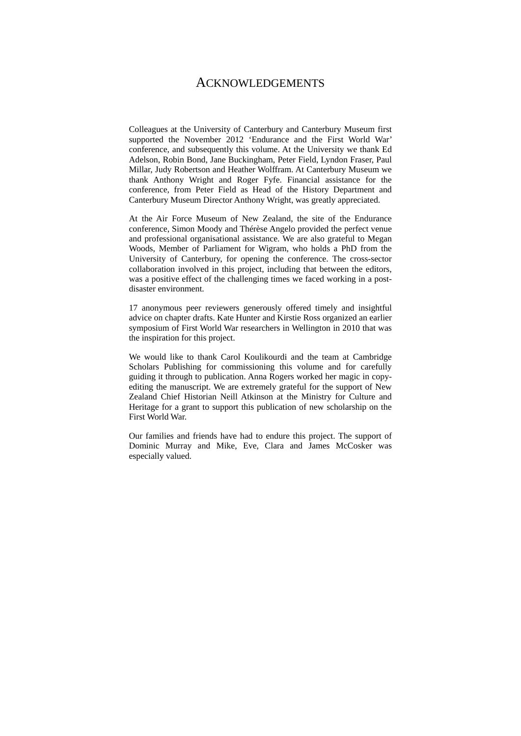#### ACKNOWLEDGEMENTS

Colleagues at the University of Canterbury and Canterbury Museum first supported the November 2012 'Endurance and the First World War' conference, and subsequently this volume. At the University we thank Ed Adelson, Robin Bond, Jane Buckingham, Peter Field, Lyndon Fraser, Paul Millar, Judy Robertson and Heather Wolffram. At Canterbury Museum we thank Anthony Wright and Roger Fyfe. Financial assistance for the conference, from Peter Field as Head of the History Department and Canterbury Museum Director Anthony Wright, was greatly appreciated.

At the Air Force Museum of New Zealand, the site of the Endurance conference, Simon Moody and Thérèse Angelo provided the perfect venue and professional organisational assistance. We are also grateful to Megan Woods, Member of Parliament for Wigram, who holds a PhD from the University of Canterbury, for opening the conference. The cross-sector collaboration involved in this project, including that between the editors, was a positive effect of the challenging times we faced working in a postdisaster environment.

17 anonymous peer reviewers generously offered timely and insightful advice on chapter drafts. Kate Hunter and Kirstie Ross organized an earlier symposium of First World War researchers in Wellington in 2010 that was the inspiration for this project.

We would like to thank Carol Koulikourdi and the team at Cambridge Scholars Publishing for commissioning this volume and for carefully guiding it through to publication. Anna Rogers worked her magic in copyediting the manuscript. We are extremely grateful for the support of New Zealand Chief Historian Neill Atkinson at the Ministry for Culture and Heritage for a grant to support this publication of new scholarship on the First World War.

Our families and friends have had to endure this project. The support of Dominic Murray and Mike, Eve, Clara and James McCosker was especially valued.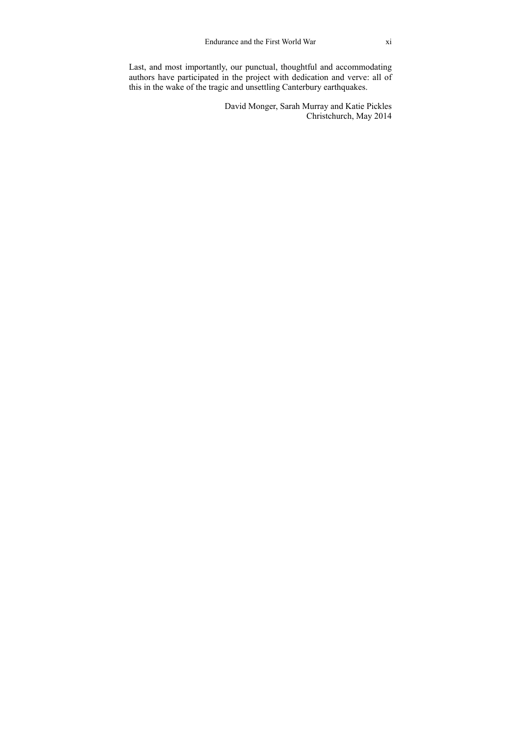Last, and most importantly, our punctual, thoughtful and accommodating authors have participated in the project with dedication and verve: all of this in the wake of the tragic and unsettling Canterbury earthquakes.

> David Monger, Sarah Murray and Katie Pickles Christchurch, May 2014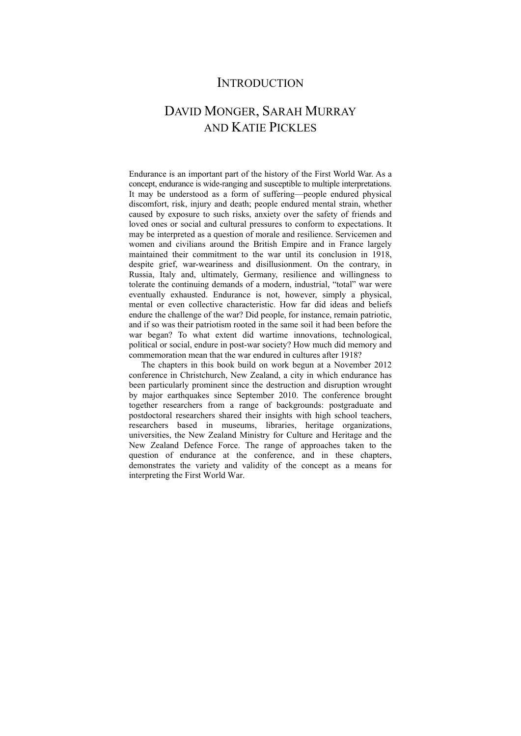### **INTRODUCTION**

## DAVID MONGER, SARAH MURRAY AND KATIE PICKLES

Endurance is an important part of the history of the First World War. As a concept, endurance is wide-ranging and susceptible to multiple interpretations. It may be understood as a form of suffering—people endured physical discomfort, risk, injury and death; people endured mental strain, whether caused by exposure to such risks, anxiety over the safety of friends and loved ones or social and cultural pressures to conform to expectations. It may be interpreted as a question of morale and resilience. Servicemen and women and civilians around the British Empire and in France largely maintained their commitment to the war until its conclusion in 1918, despite grief, war-weariness and disillusionment. On the contrary, in Russia, Italy and, ultimately, Germany, resilience and willingness to tolerate the continuing demands of a modern, industrial, "total" war were eventually exhausted. Endurance is not, however, simply a physical, mental or even collective characteristic. How far did ideas and beliefs endure the challenge of the war? Did people, for instance, remain patriotic, and if so was their patriotism rooted in the same soil it had been before the war began? To what extent did wartime innovations, technological, political or social, endure in post-war society? How much did memory and commemoration mean that the war endured in cultures after 1918?

The chapters in this book build on work begun at a November 2012 conference in Christchurch, New Zealand, a city in which endurance has been particularly prominent since the destruction and disruption wrought by major earthquakes since September 2010. The conference brought together researchers from a range of backgrounds: postgraduate and postdoctoral researchers shared their insights with high school teachers, researchers based in museums, libraries, heritage organizations, universities, the New Zealand Ministry for Culture and Heritage and the New Zealand Defence Force. The range of approaches taken to the question of endurance at the conference, and in these chapters, demonstrates the variety and validity of the concept as a means for interpreting the First World War.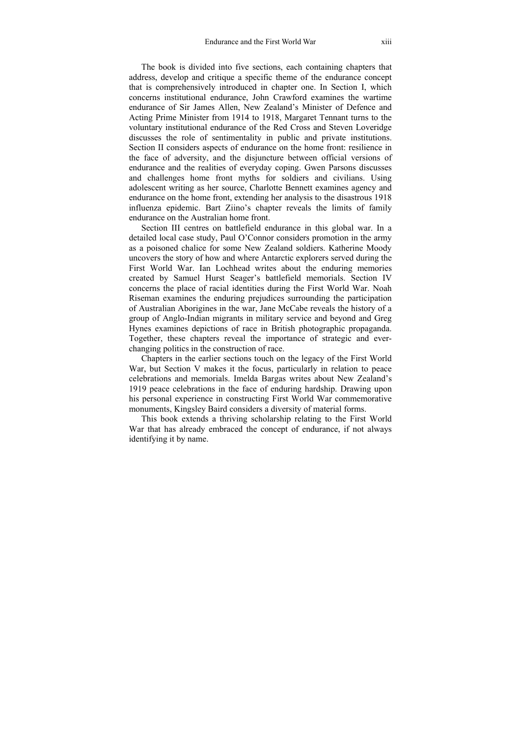The book is divided into five sections, each containing chapters that address, develop and critique a specific theme of the endurance concept that is comprehensively introduced in chapter one. In Section I, which concerns institutional endurance, John Crawford examines the wartime endurance of Sir James Allen, New Zealand's Minister of Defence and Acting Prime Minister from 1914 to 1918, Margaret Tennant turns to the voluntary institutional endurance of the Red Cross and Steven Loveridge discusses the role of sentimentality in public and private institutions. Section II considers aspects of endurance on the home front: resilience in the face of adversity, and the disjuncture between official versions of endurance and the realities of everyday coping. Gwen Parsons discusses and challenges home front myths for soldiers and civilians. Using adolescent writing as her source, Charlotte Bennett examines agency and endurance on the home front, extending her analysis to the disastrous 1918 influenza epidemic. Bart Ziino's chapter reveals the limits of family endurance on the Australian home front.

Section III centres on battlefield endurance in this global war. In a detailed local case study, Paul O'Connor considers promotion in the army as a poisoned chalice for some New Zealand soldiers. Katherine Moody uncovers the story of how and where Antarctic explorers served during the First World War. Ian Lochhead writes about the enduring memories created by Samuel Hurst Seager's battlefield memorials. Section IV concerns the place of racial identities during the First World War. Noah Riseman examines the enduring prejudices surrounding the participation of Australian Aborigines in the war, Jane McCabe reveals the history of a group of Anglo-Indian migrants in military service and beyond and Greg Hynes examines depictions of race in British photographic propaganda. Together, these chapters reveal the importance of strategic and everchanging politics in the construction of race.

Chapters in the earlier sections touch on the legacy of the First World War, but Section V makes it the focus, particularly in relation to peace celebrations and memorials. Imelda Bargas writes about New Zealand's 1919 peace celebrations in the face of enduring hardship. Drawing upon his personal experience in constructing First World War commemorative monuments, Kingsley Baird considers a diversity of material forms.

This book extends a thriving scholarship relating to the First World War that has already embraced the concept of endurance, if not always identifying it by name.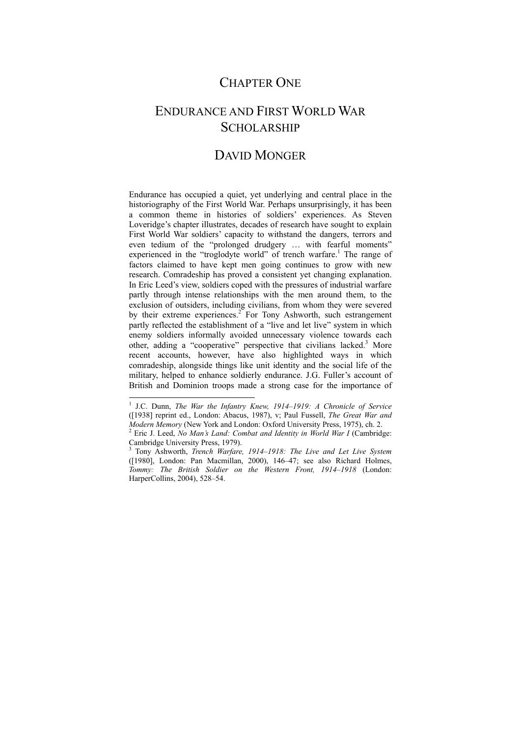### CHAPTER ONE

# ENDURANCE AND FIRST WORLD WAR **SCHOLARSHIP**

### DAVID MONGER

Endurance has occupied a quiet, yet underlying and central place in the historiography of the First World War. Perhaps unsurprisingly, it has been a common theme in histories of soldiers' experiences. As Steven Loveridge's chapter illustrates, decades of research have sought to explain First World War soldiers' capacity to withstand the dangers, terrors and even tedium of the "prolonged drudgery … with fearful moments" experienced in the "troglodyte world" of trench warfare.<sup>1</sup> The range of factors claimed to have kept men going continues to grow with new research. Comradeship has proved a consistent yet changing explanation. In Eric Leed's view, soldiers coped with the pressures of industrial warfare partly through intense relationships with the men around them, to the exclusion of outsiders, including civilians, from whom they were severed by their extreme experiences.<sup>2</sup> For Tony Ashworth, such estrangement partly reflected the establishment of a "live and let live" system in which enemy soldiers informally avoided unnecessary violence towards each other, adding a "cooperative" perspective that civilians lacked.<sup>3</sup> More recent accounts, however, have also highlighted ways in which comradeship, alongside things like unit identity and the social life of the military, helped to enhance soldierly endurance. J.G. Fuller's account of British and Dominion troops made a strong case for the importance of

<sup>&</sup>lt;sup>1</sup> J.C. Dunn, *The War the Infantry Knew, 1914–1919: A Chronicle of Service* ([1938] reprint ed., London: Abacus, 1987), v; Paul Fussell, *The Great War and Modern Memory* (New York and London: Oxford University Press, 1975), ch. 2.

Eric J. Leed, *No Man's Land: Combat and Identity in World War I* (Cambridge: Cambridge University Press, 1979).

<sup>3</sup> Tony Ashworth, *Trench Warfare, 1914–1918: The Live and Let Live System* ([1980], London: Pan Macmillan, 2000), 146–47; see also Richard Holmes, *Tommy: The British Soldier on the Western Front, 1914–1918* (London: HarperCollins, 2004), 528–54.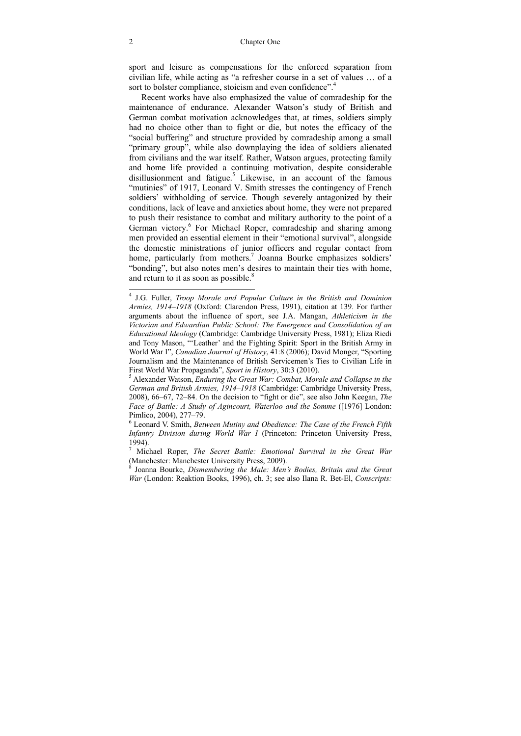sport and leisure as compensations for the enforced separation from civilian life, while acting as "a refresher course in a set of values … of a sort to bolster compliance, stoicism and even confidence".<sup>4</sup>

Recent works have also emphasized the value of comradeship for the maintenance of endurance. Alexander Watson's study of British and German combat motivation acknowledges that, at times, soldiers simply had no choice other than to fight or die, but notes the efficacy of the "social buffering" and structure provided by comradeship among a small "primary group", while also downplaying the idea of soldiers alienated from civilians and the war itself. Rather, Watson argues, protecting family and home life provided a continuing motivation, despite considerable disillusionment and fatigue.<sup>5</sup> Likewise, in an account of the famous "mutinies" of 1917, Leonard V. Smith stresses the contingency of French soldiers' withholding of service. Though severely antagonized by their conditions, lack of leave and anxieties about home, they were not prepared to push their resistance to combat and military authority to the point of a German victory.<sup>6</sup> For Michael Roper, comradeship and sharing among men provided an essential element in their "emotional survival", alongside the domestic ministrations of junior officers and regular contact from home, particularly from mothers.<sup>7</sup> Joanna Bourke emphasizes soldiers' "bonding", but also notes men's desires to maintain their ties with home, and return to it as soon as possible. $8$ 

 4 J.G. Fuller, *Troop Morale and Popular Culture in the British and Dominion Armies, 1914–1918* (Oxford: Clarendon Press, 1991), citation at 139. For further arguments about the influence of sport, see J.A. Mangan, *Athleticism in the Victorian and Edwardian Public School: The Emergence and Consolidation of an Educational Ideology* (Cambridge: Cambridge University Press, 1981); Eliza Riedi and Tony Mason, "'Leather' and the Fighting Spirit: Sport in the British Army in World War I", *Canadian Journal of History*, 41:8 (2006); David Monger, "Sporting Journalism and the Maintenance of British Servicemen's Ties to Civilian Life in First World War Propaganda", *Sport in History*, 30:3 (2010).

Alexander Watson, *Enduring the Great War: Combat, Morale and Collapse in the German and British Armies, 1914–1918* (Cambridge: Cambridge University Press, 2008), 66–67, 72–84. On the decision to "fight or die", see also John Keegan, *The Face of Battle: A Study of Agincourt, Waterloo and the Somme* ([1976] London: Pimlico, 2004), 277–79.

<sup>6</sup> Leonard V. Smith, *Between Mutiny and Obedience: The Case of the French Fifth Infantry Division during World War I* (Princeton: Princeton University Press, 1994).

<sup>7</sup> Michael Roper, *The Secret Battle: Emotional Survival in the Great War* (Manchester: Manchester University Press, 2009).

<sup>8</sup> Joanna Bourke, *Dismembering the Male: Men's Bodies, Britain and the Great War* (London: Reaktion Books, 1996), ch. 3; see also Ilana R. Bet-El, *Conscripts:*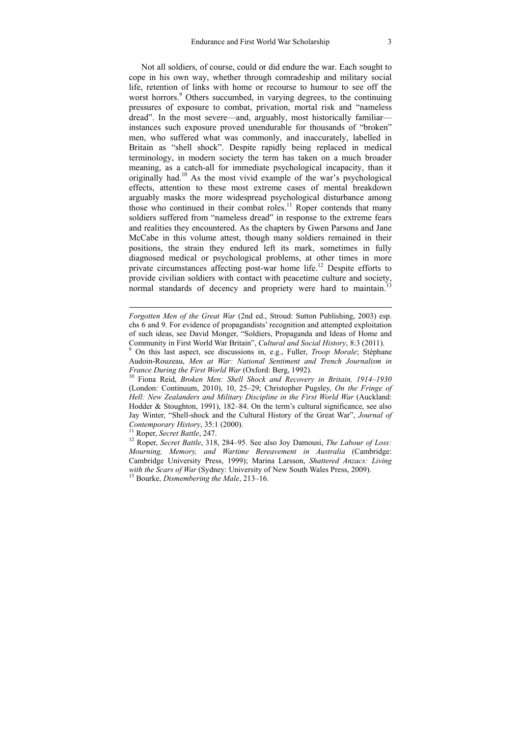Not all soldiers, of course, could or did endure the war. Each sought to cope in his own way, whether through comradeship and military social life, retention of links with home or recourse to humour to see off the worst horrors.<sup>9</sup> Others succumbed, in varying degrees, to the continuing pressures of exposure to combat, privation, mortal risk and "nameless dread". In the most severe—and, arguably, most historically familiar instances such exposure proved unendurable for thousands of "broken" men, who suffered what was commonly, and inaccurately, labelled in Britain as "shell shock". Despite rapidly being replaced in medical terminology, in modern society the term has taken on a much broader meaning, as a catch-all for immediate psychological incapacity, than it originally had.10 As the most vivid example of the war's psychological effects, attention to these most extreme cases of mental breakdown arguably masks the more widespread psychological disturbance among those who continued in their combat roles.<sup>11</sup> Roper contends that many soldiers suffered from "nameless dread" in response to the extreme fears and realities they encountered. As the chapters by Gwen Parsons and Jane McCabe in this volume attest, though many soldiers remained in their positions, the strain they endured left its mark, sometimes in fully diagnosed medical or psychological problems, at other times in more private circumstances affecting post-war home life.<sup>12</sup> Despite efforts to provide civilian soldiers with contact with peacetime culture and society, normal standards of decency and propriety were hard to maintain.<sup>13</sup>

*Forgotten Men of the Great War* (2nd ed., Stroud: Sutton Publishing, 2003) esp. chs 6 and 9. For evidence of propagandists' recognition and attempted exploitation of such ideas, see David Monger, "Soldiers, Propaganda and Ideas of Home and Community in First World War Britain", *Cultural and Social History*, 8:3 (2011).

<sup>&</sup>lt;sup>9</sup> On this last aspect, see discussions in, e.g., Fuller, *Troop Morale*; Stéphane Audoin-Rouzeau, *Men at War: National Sentiment and Trench Journalism in France During the First World War* (Oxford: Berg, 1992).<br><sup>10</sup> Fiona Reid, *Broken Men: Shell Shock and Recovery in Britain, 1914–1930* 

<sup>(</sup>London: Continuum, 2010), 10, 25–29; Christopher Pugsley, *On the Fringe of Hell: New Zealanders and Military Discipline in the First World War* (Auckland: Hodder & Stoughton, 1991), 182–84. On the term's cultural significance, see also Jay Winter, "Shell-shock and the Cultural History of the Great War", *Journal of Contemporary History*, 35:1 (2000).<br><sup>11</sup> Roper, *Secret Battle*, 247.<br><sup>12</sup> Roper. *Secret Battle*, 318, 284–95. See also Joy Damousi, *The Labour of Loss:* 

*Mourning, Memory, and Wartime Bereavement in Australia* (Cambridge: Cambridge University Press, 1999); Marina Larsson, *Shattered Anzacs: Living with the Scars of War* (Sydney: University of New South Wales Press, 2009). 13 Bourke, *Dismembering the Male*, 213–16.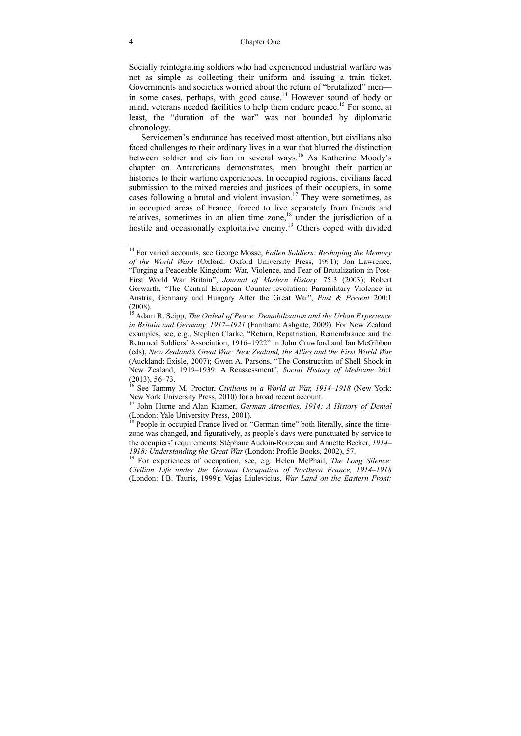#### 4 Chapter One

Socially reintegrating soldiers who had experienced industrial warfare was not as simple as collecting their uniform and issuing a train ticket. Governments and societies worried about the return of "brutalized" men in some cases, perhaps, with good cause.<sup>14</sup> However sound of body or mind, veterans needed facilities to help them endure peace.<sup>15</sup> For some, at least, the "duration of the war" was not bounded by diplomatic chronology.

Servicemen's endurance has received most attention, but civilians also faced challenges to their ordinary lives in a war that blurred the distinction between soldier and civilian in several ways.<sup>16</sup> As Katherine Moody's chapter on Antarcticans demonstrates, men brought their particular histories to their wartime experiences. In occupied regions, civilians faced submission to the mixed mercies and justices of their occupiers, in some cases following a brutal and violent invasion.<sup>17</sup> They were sometimes, as in occupied areas of France, forced to live separately from friends and relatives, sometimes in an alien time zone,<sup>18</sup> under the jurisdiction of a hostile and occasionally exploitative enemy.<sup>19</sup> Others coped with divided

<sup>14</sup> For varied accounts, see George Mosse, *Fallen Soldiers: Reshaping the Memory of the World Wars* (Oxford: Oxford University Press, 1991); Jon Lawrence, "Forging a Peaceable Kingdom: War, Violence, and Fear of Brutalization in Post-First World War Britain", *Journal of Modern History,* 75:3 (2003); Robert Gerwarth, "The Central European Counter-revolution: Paramilitary Violence in Austria, Germany and Hungary After the Great War", *Past & Present* 200:1 (2008).

<sup>15</sup> Adam R. Seipp, *The Ordeal of Peace: Demobilization and the Urban Experience in Britain and Germany, 1917–1921* (Farnham: Ashgate, 2009). For New Zealand examples, see, e.g., Stephen Clarke, "Return, Repatriation, Remembrance and the Returned Soldiers' Association, 1916–1922" in John Crawford and Ian McGibbon (eds), *New Zealand's Great War: New Zealand, the Allies and the First World War* (Auckland: Exisle, 2007); Gwen A. Parsons, "The Construction of Shell Shock in New Zealand, 1919–1939: A Reassessment", *Social History of Medicine* 26:1  $(2013)$ , 56–73.

<sup>&</sup>lt;sup>16</sup> See Tammy M. Proctor, *Civilians in a World at War*, 1914–1918 (New York: New York: New York: New York:

<sup>&</sup>lt;sup>17</sup> John Horne and Alan Kramer, *German Atrocities, 1914: A History of Denial* (London: Yale University Press, 2001).

<sup>&</sup>lt;sup>18</sup> People in occupied France lived on "German time" both literally, since the timezone was changed, and figuratively, as people's days were punctuated by service to the occupiers' requirements: Stéphane Audoin-Rouzeau and Annette Becker, *1914– 1918: Understanding the Great War* (London: Profile Books, 2002), 57.<br><sup>19</sup> For experiences of occupation, see, e.g. Helen McPhail, *The Long Silence:* 

*Civilian Life under the German Occupation of Northern France, 1914–1918* (London: I.B. Tauris, 1999); Vejas Liulevicius, *War Land on the Eastern Front:*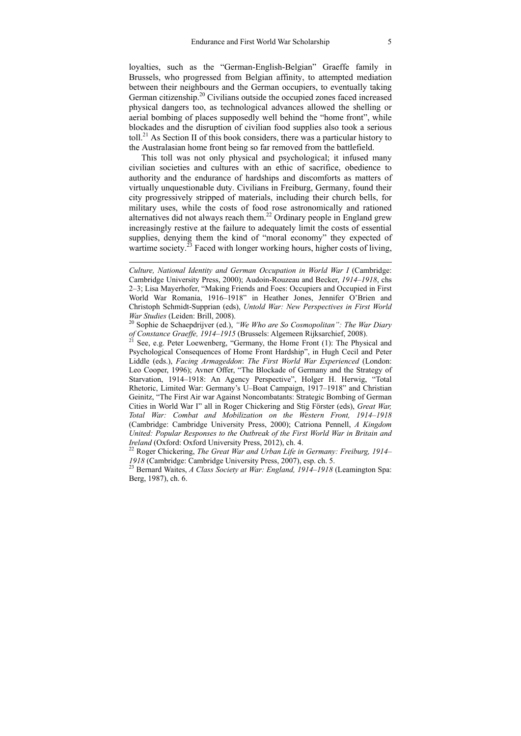loyalties, such as the "German-English-Belgian" Graeffe family in Brussels, who progressed from Belgian affinity, to attempted mediation between their neighbours and the German occupiers, to eventually taking German citizenship.<sup>20</sup> Civilians outside the occupied zones faced increased physical dangers too, as technological advances allowed the shelling or aerial bombing of places supposedly well behind the "home front", while blockades and the disruption of civilian food supplies also took a serious toll.<sup>21</sup> As Section II of this book considers, there was a particular history to the Australasian home front being so far removed from the battlefield.

This toll was not only physical and psychological; it infused many civilian societies and cultures with an ethic of sacrifice, obedience to authority and the endurance of hardships and discomforts as matters of virtually unquestionable duty. Civilians in Freiburg, Germany, found their city progressively stripped of materials, including their church bells, for military uses, while the costs of food rose astronomically and rationed alternatives did not always reach them.<sup>22</sup> Ordinary people in England grew increasingly restive at the failure to adequately limit the costs of essential supplies, denying them the kind of "moral economy" they expected of wartime society.<sup>23</sup> Faced with longer working hours, higher costs of living,

*Culture, National Identity and German Occupation in World War I* (Cambridge: Cambridge University Press, 2000); Audoin-Rouzeau and Becker, *1914–1918*, chs 2–3; Lisa Mayerhofer, "Making Friends and Foes: Occupiers and Occupied in First World War Romania, 1916–1918" in Heather Jones, Jennifer O'Brien and Christoph Schmidt-Supprian (eds), *Untold War: New Perspectives in First World* 

<sup>&</sup>lt;sup>20</sup> Sophie de Schaepdrijver (ed.), *"We Who are So Cosmopolitan": The War Diary of Constance Graeffe, 1914–1915* (Brussels: Algemeen Rijksarchief, 2008).<br><sup>21</sup> See, e.g. Peter Loewenberg, "Germany, the Home Front (1): The Physical and

Psychological Consequences of Home Front Hardship", in Hugh Cecil and Peter Liddle (eds.), *Facing Armageddon*: *The First World War Experienced* (London: Leo Cooper, 1996); Avner Offer, "The Blockade of Germany and the Strategy of Starvation, 1914–1918: An Agency Perspective", Holger H. Herwig, "Total Rhetoric, Limited War: Germany's U–Boat Campaign, 1917–1918" and Christian Geinitz, "The First Air war Against Noncombatants: Strategic Bombing of German Cities in World War I" all in Roger Chickering and Stig Förster (eds), *Great War, Total War: Combat and Mobilization on the Western Front, 1914–1918* (Cambridge: Cambridge University Press, 2000); Catriona Pennell, *A Kingdom United: Popular Responses to the Outbreak of the First World War in Britain and Ireland* (Oxford: Oxford University Press, 2012), ch. 4.

<sup>&</sup>lt;sup>22</sup> Roger Chickering, *The Great War and Urban Life in Germany: Freiburg, 1914– <sup>1918</sup>* (Cambridge: Cambridge University Press, 2007), esp. ch. 5. 23 Bernard Waites, *A Class Society at War: England, 1914–1918* (Leamington Spa:

Berg, 1987), ch. 6.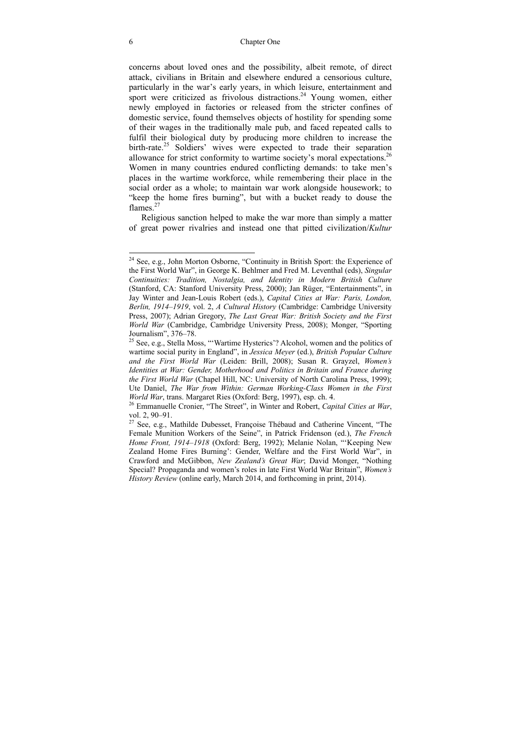#### 6 Chapter One

concerns about loved ones and the possibility, albeit remote, of direct attack, civilians in Britain and elsewhere endured a censorious culture, particularly in the war's early years, in which leisure, entertainment and sport were criticized as frivolous distractions.<sup>24</sup> Young women, either newly employed in factories or released from the stricter confines of domestic service, found themselves objects of hostility for spending some of their wages in the traditionally male pub, and faced repeated calls to fulfil their biological duty by producing more children to increase the birth-rate.<sup>25</sup> Soldiers' wives were expected to trade their separation allowance for strict conformity to wartime society's moral expectations.<sup>26</sup> Women in many countries endured conflicting demands: to take men's places in the wartime workforce, while remembering their place in the social order as a whole; to maintain war work alongside housework; to "keep the home fires burning", but with a bucket ready to douse the flames<sup>27</sup>

Religious sanction helped to make the war more than simply a matter of great power rivalries and instead one that pitted civilization/*Kultur* 

 $24$  See, e.g., John Morton Osborne, "Continuity in British Sport: the Experience of the First World War", in George K. Behlmer and Fred M. Leventhal (eds), *Singular Continuities: Tradition, Nostalgia, and Identity in Modern British Culture* (Stanford, CA: Stanford University Press, 2000); Jan Rüger, "Entertainments", in Jay Winter and Jean-Louis Robert (eds.), *Capital Cities at War: Paris, London, Berlin, 1914–1919*, vol. 2, *A Cultural History* (Cambridge: Cambridge University Press, 2007); Adrian Gregory, *The Last Great War: British Society and the First World War* (Cambridge, Cambridge University Press, 2008); Monger, "Sporting Journalism", 376–78.

<sup>&</sup>lt;sup>25</sup> See, e.g., Stella Moss, "'Wartime Hysterics'? Alcohol, women and the politics of wartime social purity in England", in *Jessica Meyer* (ed.), *British Popular Culture and the First World War* (Leiden: Brill, 2008); Susan R. Grayzel, *Women's Identities at War: Gender, Motherhood and Politics in Britain and France during the First World War* (Chapel Hill, NC: University of North Carolina Press, 1999); Ute Daniel, *The War from Within: German Working-Class Women in the First World War*, trans. Margaret Ries (Oxford: Berg, 1997), esp. ch. 4. 26 Emmanuelle Cronier, "The Street", in Winter and Robert, *Capital Cities at War*,

vol. 2, 90–91.

<sup>&</sup>lt;sup>27</sup> See, e.g., Mathilde Dubesset, Françoise Thébaud and Catherine Vincent, "The Female Munition Workers of the Seine", in Patrick Fridenson (ed.), *The French Home Front, 1914–1918* (Oxford: Berg, 1992); Melanie Nolan, "'Keeping New Zealand Home Fires Burning': Gender, Welfare and the First World War", in Crawford and McGibbon, *New Zealand's Great War*; David Monger, "Nothing Special? Propaganda and women's roles in late First World War Britain", *Women's History Review* (online early, March 2014, and forthcoming in print, 2014).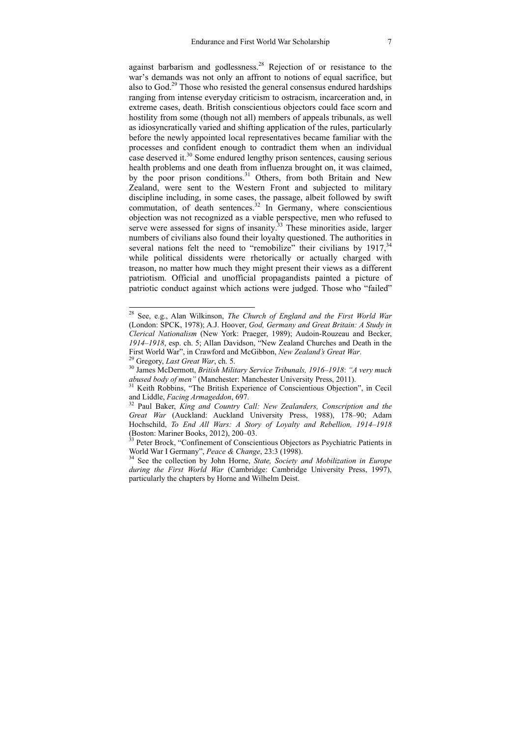against barbarism and godlessness.28 Rejection of or resistance to the war's demands was not only an affront to notions of equal sacrifice, but also to  $God<sup>29</sup>$  Those who resisted the general consensus endured hardships ranging from intense everyday criticism to ostracism, incarceration and, in extreme cases, death. British conscientious objectors could face scorn and hostility from some (though not all) members of appeals tribunals, as well as idiosyncratically varied and shifting application of the rules, particularly before the newly appointed local representatives became familiar with the processes and confident enough to contradict them when an individual case deserved it.<sup>30</sup> Some endured lengthy prison sentences, causing serious health problems and one death from influenza brought on, it was claimed, by the poor prison conditions.<sup>31</sup> Others, from both Britain and New Zealand, were sent to the Western Front and subjected to military discipline including, in some cases, the passage, albeit followed by swift commutation, of death sentences.<sup>32</sup> In Germany, where conscientious objection was not recognized as a viable perspective, men who refused to serve were assessed for signs of insanity.<sup>33</sup> These minorities aside, larger numbers of civilians also found their loyalty questioned. The authorities in several nations felt the need to "remobilize" their civilians by  $1917<sup>34</sup>$ while political dissidents were rhetorically or actually charged with treason, no matter how much they might present their views as a different patriotism. Official and unofficial propagandists painted a picture of patriotic conduct against which actions were judged. Those who "failed"

<sup>28</sup> See, e.g., Alan Wilkinson, *The Church of England and the First World War* (London: SPCK, 1978); A.J. Hoover, *God, Germany and Great Britain: A Study in Clerical Nationalism* (New York: Praeger, 1989); Audoin-Rouzeau and Becker, 1914–1918, esp. ch. 5; Allan Davidson, "New Zealand Churches and Death in the First World War", in Crawford and McGibbon, *New Zealand's Great War*.

<sup>&</sup>lt;sup>29</sup> Gregory, *Last Great War*, ch. 5.<br><sup>30</sup> James McDermott, *British Military Service Tribunals, 1916–1918*: *"A very much abused body of men"* (Manchester: Manchester University Press, 2011).

<sup>&</sup>lt;sup>31</sup> Keith Robbins, "The British Experience of Conscientious Objection", in Cecil and Liddle. *Facing Armageddon*, 697.

<sup>&</sup>lt;sup>32</sup> Paul Baker, *King and Country Call: New Zealanders, Conscription and the Great War* (Auckland: Auckland University Press, 1988), 178–90; Adam Hochschild, *To End All Wars: A Story of Loyalty and Rebellion, 1914–1918* (Boston: Mariner Books, 2012), 200–03.

<sup>&</sup>lt;sup>33</sup> Peter Brock, "Confinement of Conscientious Objectors as Psychiatric Patients in World War I Germany", *Peace & Change*, 23:3 (1998).<br><sup>34</sup> See the collection by John Horne, *State, Society and Mobilization in Europe* 

*during the First World War* (Cambridge: Cambridge University Press, 1997), particularly the chapters by Horne and Wilhelm Deist.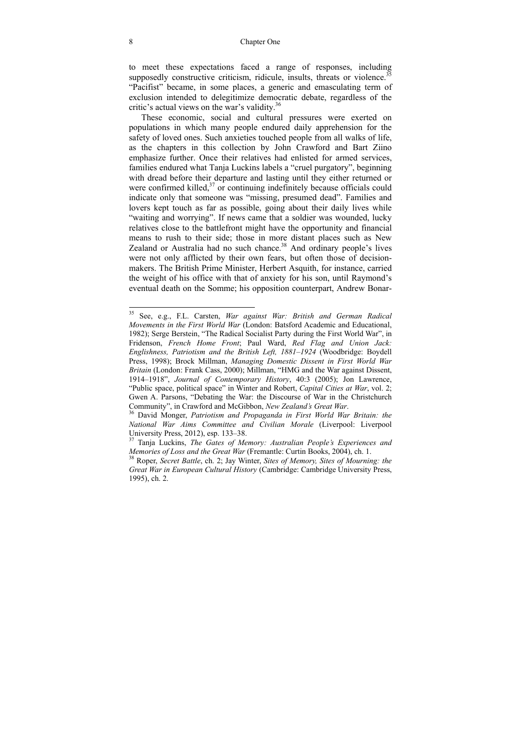to meet these expectations faced a range of responses, including supposedly constructive criticism, ridicule, insults, threats or violence.<sup>35</sup> "Pacifist" became, in some places, a generic and emasculating term of exclusion intended to delegitimize democratic debate, regardless of the critic's actual views on the war's validity.<sup>36</sup>

These economic, social and cultural pressures were exerted on populations in which many people endured daily apprehension for the safety of loved ones. Such anxieties touched people from all walks of life, as the chapters in this collection by John Crawford and Bart Ziino emphasize further. Once their relatives had enlisted for armed services, families endured what Tanja Luckins labels a "cruel purgatory", beginning with dread before their departure and lasting until they either returned or were confirmed killed, $37$  or continuing indefinitely because officials could indicate only that someone was "missing, presumed dead". Families and lovers kept touch as far as possible, going about their daily lives while "waiting and worrying". If news came that a soldier was wounded, lucky relatives close to the battlefront might have the opportunity and financial means to rush to their side; those in more distant places such as New Zealand or Australia had no such chance.<sup>38</sup> And ordinary people's lives were not only afflicted by their own fears, but often those of decisionmakers. The British Prime Minister, Herbert Asquith, for instance, carried the weight of his office with that of anxiety for his son, until Raymond's eventual death on the Somme; his opposition counterpart, Andrew Bonar-

<sup>35</sup> See, e.g., F.L. Carsten, *War against War: British and German Radical Movements in the First World War* (London: Batsford Academic and Educational, 1982); Serge Berstein, "The Radical Socialist Party during the First World War", in Fridenson, *French Home Front*; Paul Ward, *Red Flag and Union Jack: Englishness, Patriotism and the British Left, 1881–1924* (Woodbridge: Boydell Press, 1998); Brock Millman, *Managing Domestic Dissent in First World War Britain* (London: Frank Cass, 2000); Millman, "HMG and the War against Dissent, 1914–1918", *Journal of Contemporary History*, 40:3 (2005); Jon Lawrence, "Public space, political space" in Winter and Robert, *Capital Cities at War*, vol. 2; Gwen A. Parsons, "Debating the War: the Discourse of War in the Christchurch Community", in Crawford and McGibbon, *New Zealand's Great War*. 36 David Monger, *Patriotism and Propaganda in First World War Britain: the* 

*National War Aims Committee and Civilian Morale* (Liverpool: Liverpool University Press, 2012), esp. 133–38.

<sup>37</sup> Tanja Luckins, *The Gates of Memory: Australian People's Experiences and Memories of Loss and the Great War* (Fremantle: Curtin Books, 2004), ch. 1. 38 Roper, *Secret Battle*, ch. 2; Jay Winter, *Sites of Memory, Sites of Mourning: the* 

*Great War in European Cultural History* (Cambridge: Cambridge University Press, 1995), ch. 2.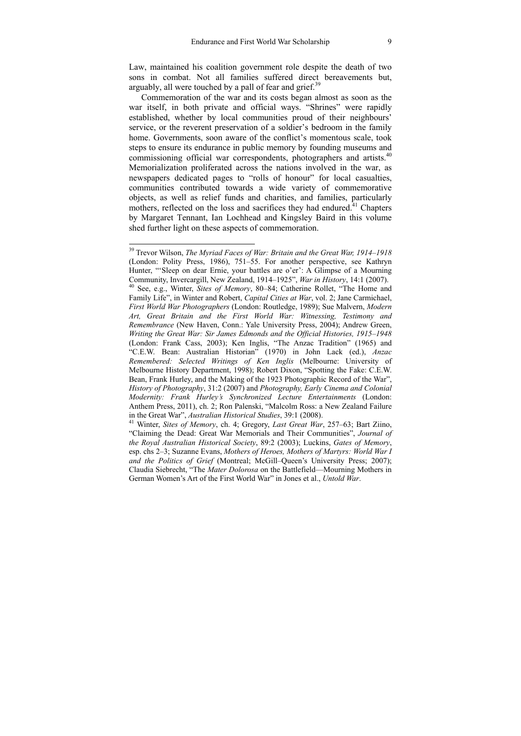Law, maintained his coalition government role despite the death of two sons in combat. Not all families suffered direct bereavements but, arguably, all were touched by a pall of fear and grief.<sup>39</sup>

Commemoration of the war and its costs began almost as soon as the war itself, in both private and official ways. "Shrines" were rapidly established, whether by local communities proud of their neighbours' service, or the reverent preservation of a soldier's bedroom in the family home. Governments, soon aware of the conflict's momentous scale, took steps to ensure its endurance in public memory by founding museums and commissioning official war correspondents, photographers and artists.<sup>40</sup> Memorialization proliferated across the nations involved in the war, as newspapers dedicated pages to "rolls of honour" for local casualties, communities contributed towards a wide variety of commemorative objects, as well as relief funds and charities, and families, particularly mothers, reflected on the loss and sacrifices they had endured.<sup> $41$ </sup> Chapters by Margaret Tennant, Ian Lochhead and Kingsley Baird in this volume shed further light on these aspects of commemoration.

<sup>39</sup> Trevor Wilson, *The Myriad Faces of War: Britain and the Great War, 1914–1918* (London: Polity Press, 1986), 751–55. For another perspective, see Kathryn Hunter, "'Sleep on dear Ernie, your battles are o'er': A Glimpse of a Mourning Community, Invercargill, New Zealand, 1914–1925", *War in History*, 14:1 (2007). <sup>40</sup> See, e.g., Winter, *Sites of Memory*, 80–84; Catherine Rollet, "The Home and Family Life", in Winter and Robert, *Capital Cities at War*, vol. 2; Jane Carmichael, *First World War Photographers* (London: Routledge, 1989); Sue Malvern, *Modern Art, Great Britain and the First World War: Witnessing, Testimony and Remembrance* (New Haven, Conn.: Yale University Press, 2004); Andrew Green, *Writing the Great War: Sir James Edmonds and the Official Histories, 1915–1948* (London: Frank Cass, 2003); Ken Inglis, "The Anzac Tradition" (1965) and "C.E.W. Bean: Australian Historian" (1970) in John Lack (ed.), *Anzac Remembered: Selected Writings of Ken Inglis* (Melbourne: University of Melbourne History Department, 1998); Robert Dixon, "Spotting the Fake: C.E.W. Bean, Frank Hurley, and the Making of the 1923 Photographic Record of the War", *History of Photography*, 31:2 (2007) and *Photography, Early Cinema and Colonial Modernity: Frank Hurley's Synchronized Lecture Entertainments* (London: Anthem Press, 2011), ch. 2; Ron Palenski, "Malcolm Ross: a New Zealand Failure in the Great War", *Australian Historical Studies*, 39:1 (2008). 41 Winter, *Sites of Memory*, ch. 4; Gregory, *Last Great War*, 257–63; Bart Ziino,

<sup>&</sup>quot;Claiming the Dead: Great War Memorials and Their Communities", *Journal of the Royal Australian Historical Society*, 89:2 (2003); Luckins, *Gates of Memory*, esp. chs 2–3; Suzanne Evans, *Mothers of Heroes, Mothers of Martyrs: World War I and the Politics of Grief* (Montreal; McGill–Queen's University Press; 2007); Claudia Siebrecht, "The *Mater Dolorosa* on the Battlefield—Mourning Mothers in German Women's Art of the First World War" in Jones et al., *Untold War*.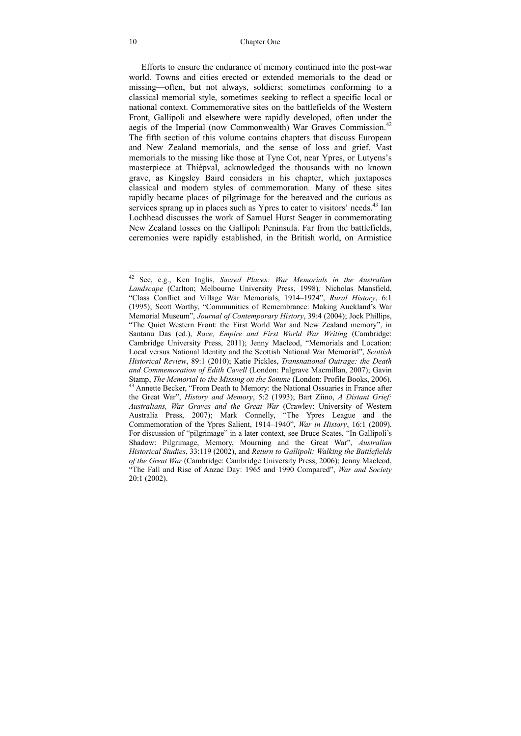Efforts to ensure the endurance of memory continued into the post-war world. Towns and cities erected or extended memorials to the dead or missing—often, but not always, soldiers; sometimes conforming to a classical memorial style, sometimes seeking to reflect a specific local or national context. Commemorative sites on the battlefields of the Western Front, Gallipoli and elsewhere were rapidly developed, often under the aegis of the Imperial (now Commonwealth) War Graves Commission.<sup>42</sup> The fifth section of this volume contains chapters that discuss European and New Zealand memorials, and the sense of loss and grief. Vast memorials to the missing like those at Tyne Cot, near Ypres, or Lutyens's masterpiece at Thiépval, acknowledged the thousands with no known grave, as Kingsley Baird considers in his chapter, which juxtaposes classical and modern styles of commemoration. Many of these sites rapidly became places of pilgrimage for the bereaved and the curious as services sprang up in places such as Ypres to cater to visitors' needs.<sup>43</sup> Ian Lochhead discusses the work of Samuel Hurst Seager in commemorating New Zealand losses on the Gallipoli Peninsula. Far from the battlefields, ceremonies were rapidly established, in the British world, on Armistice

<sup>42</sup> See, e.g., Ken Inglis, *Sacred Places: War Memorials in the Australian Landscape* (Carlton; Melbourne University Press, 1998)*;* Nicholas Mansfield, "Class Conflict and Village War Memorials, 1914–1924", *Rural History*, 6:1 (1995); Scott Worthy, "Communities of Remembrance: Making Auckland's War Memorial Museum", *Journal of Contemporary History*, 39:4 (2004); Jock Phillips, "The Quiet Western Front: the First World War and New Zealand memory", in Santanu Das (ed.), *Race, Empire and First World War Writing* (Cambridge: Cambridge University Press, 2011); Jenny Macleod, "Memorials and Location: Local versus National Identity and the Scottish National War Memorial", *Scottish Historical Review*, 89:1 (2010); Katie Pickles, *Transnational Outrage: the Death and Commemoration of Edith Cavell* (London: Palgrave Macmillan, 2007); Gavin Stamp, *The Memorial to the Missing on the Somme* (London: Profile Books, 2006). 43 Annette Becker, "From Death to Memory: the National Ossuaries in France after the Great War", *History and Memory*, 5:2 (1993); Bart Ziino, *A Distant Grief: Australians, War Graves and the Great War* (Crawley: University of Western Australia Press, 2007); Mark Connelly, "The Ypres League and the Commemoration of the Ypres Salient, 1914–1940", *War in History*, 16:1 (2009). For discussion of "pilgrimage" in a later context, see Bruce Scates, "In Gallipoli's Shadow: Pilgrimage, Memory, Mourning and the Great War", *Australian Historical Studies*, 33:119 (2002), and *Return to Gallipoli: Walking the Battlefields of the Great War* (Cambridge: Cambridge University Press, 2006); Jenny Macleod, "The Fall and Rise of Anzac Day: 1965 and 1990 Compared", *War and Society* 20:1 (2002).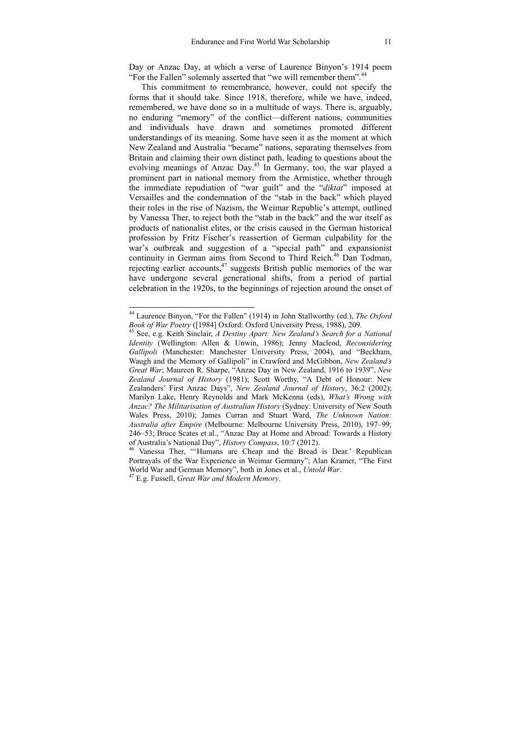Day or Anzac Day, at which a verse of Laurence Binyon's 1914 poem "For the Fallen" solemnly asserted that "we will remember them".<sup>44</sup>

This commitment to remembrance, however, could not specify the forms that it should take. Since 1918, therefore, while we have, indeed, remembered, we have done so in a multitude of ways. There is, arguably, no enduring "memory" of the conflict—different nations, communities and individuals have drawn and sometimes promoted different understandings of its meaning. Some have seen it as the moment at which New Zealand and Australia "became" nations, separating themselves from Britain and claiming their own distinct path, leading to questions about the evolving meanings of Anzac Day.<sup>45</sup> In Germany, too, the war played a prominent part in national memory from the Armistice, whether through the immediate repudiation of "war guilt" and the "*diktat*" imposed at Versailles and the condemnation of the "stab in the back" which played their roles in the rise of Nazism, the Weimar Republic's attempt, outlined by Vanessa Ther, to reject both the "stab in the back" and the war itself as products of nationalist elites, or the crisis caused in the German historical profession by Fritz Fischer's reassertion of German culpability for the war's outbreak and suggestion of a "special path" and expansionist continuity in German aims from Second to Third Reich.<sup>46</sup> Dan Todman, rejecting earlier accounts,  $47$  suggests British public memories of the war have undergone several generational shifts, from a period of partial celebration in the 1920s, to the beginnings of rejection around the onset of

<sup>44</sup> Laurence Binyon, "For the Fallen" (1914) in John Stallworthy (ed.), *The Oxford Book of War Poetry* ([1984] Oxford: Oxford University Press, 1988), 209. 45 See, e.g. Keith Sinclair, *A Destiny Apart: New Zealand's Search for a National* 

*Identity* (Wellington: Allen & Unwin, 1986); Jenny Macleod, *Reconsidering Gallipoli* (Manchester: Manchester University Press, 2004), and "Beckham, Waugh and the Memory of Gallipoli" in Crawford and McGibbon, *New Zealand's Great War*; Maureen R. Sharpe, "Anzac Day in New Zealand, 1916 to 1939", *New Zealand Journal of History* (1981); Scott Worthy, "A Debt of Honour: New Zealanders' First Anzac Days", *New Zealand Journal of History*, 36:2 (2002); Marilyn Lake, Henry Reynolds and Mark McKenna (eds), *What's Wrong with Anzac? The Militarisation of Australian History* (Sydney: University of New South Wales Press, 2010); James Curran and Stuart Ward, *The Unknown Nation: Australia after Empire* (Melbourne: Melbourne University Press, 2010), 197–99; 246–53; Bruce Scates et al., "Anzac Day at Home and Abroad: Towards a History of Australia's National Day", *History Compass*, 10:7 (2012).

<sup>&</sup>lt;sup>46</sup> Vanessa Ther, "'Humans are Cheap and the Bread is Dear.' Republican Portrayals of the War Experience in Weimar Germany"; Alan Kramer, "The First World War and German Memory", both in Jones et al., *Untold War*. 47 E.g. Fussell, *Great War and Modern Memory*.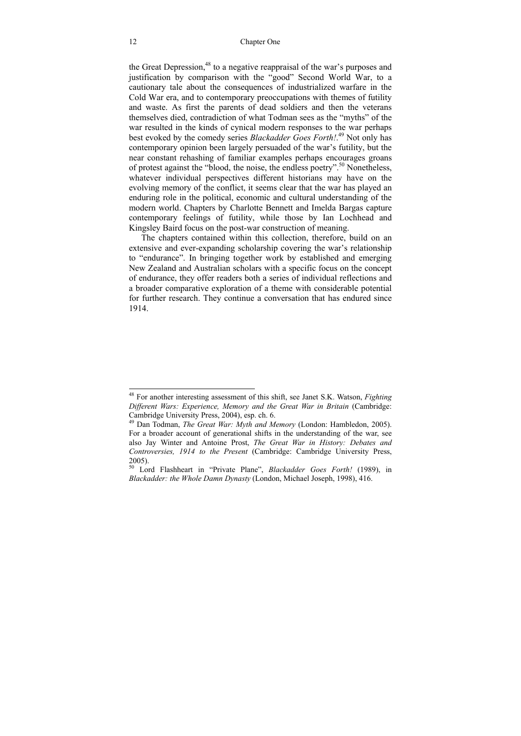#### 12 Chapter One

the Great Depression,<sup>48</sup> to a negative reappraisal of the war's purposes and justification by comparison with the "good" Second World War, to a cautionary tale about the consequences of industrialized warfare in the Cold War era, and to contemporary preoccupations with themes of futility and waste. As first the parents of dead soldiers and then the veterans themselves died, contradiction of what Todman sees as the "myths" of the war resulted in the kinds of cynical modern responses to the war perhaps best evoked by the comedy series *Blackadder Goes Forth!*. 49 Not only has contemporary opinion been largely persuaded of the war's futility, but the near constant rehashing of familiar examples perhaps encourages groans of protest against the "blood, the noise, the endless poetry".50 Nonetheless, whatever individual perspectives different historians may have on the evolving memory of the conflict, it seems clear that the war has played an enduring role in the political, economic and cultural understanding of the modern world. Chapters by Charlotte Bennett and Imelda Bargas capture contemporary feelings of futility, while those by Ian Lochhead and Kingsley Baird focus on the post-war construction of meaning.

The chapters contained within this collection, therefore, build on an extensive and ever-expanding scholarship covering the war's relationship to "endurance". In bringing together work by established and emerging New Zealand and Australian scholars with a specific focus on the concept of endurance, they offer readers both a series of individual reflections and a broader comparative exploration of a theme with considerable potential for further research. They continue a conversation that has endured since 1914.

<sup>48</sup> For another interesting assessment of this shift, see Janet S.K. Watson, *Fighting Different Wars: Experience, Memory and the Great War in Britain* (Cambridge: Cambridge University Press, 2004), esp. ch. 6.

<sup>49</sup> Dan Todman, *The Great War: Myth and Memory* (London: Hambledon, 2005). For a broader account of generational shifts in the understanding of the war, see also Jay Winter and Antoine Prost, *The Great War in History: Debates and Controversies, 1914 to the Present* (Cambridge: Cambridge University Press, 2005).

<sup>50</sup> Lord Flashheart in "Private Plane", *Blackadder Goes Forth!* (1989), in *Blackadder: the Whole Damn Dynasty* (London, Michael Joseph, 1998), 416.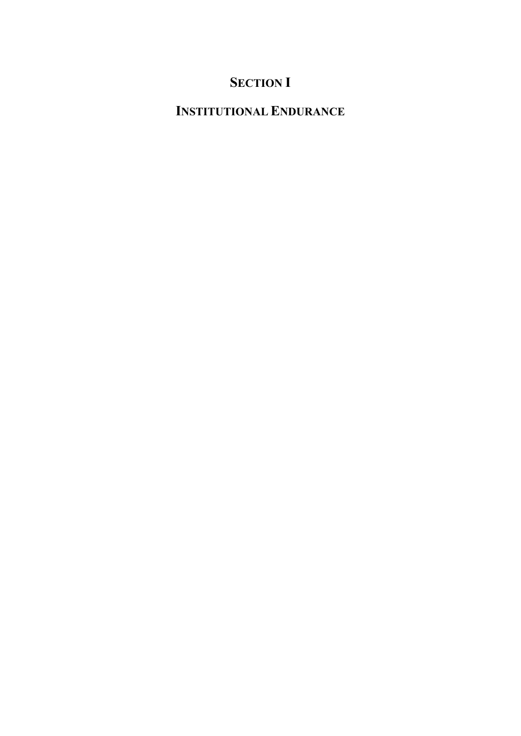# **SECTION I**

# **INSTITUTIONAL ENDURANCE**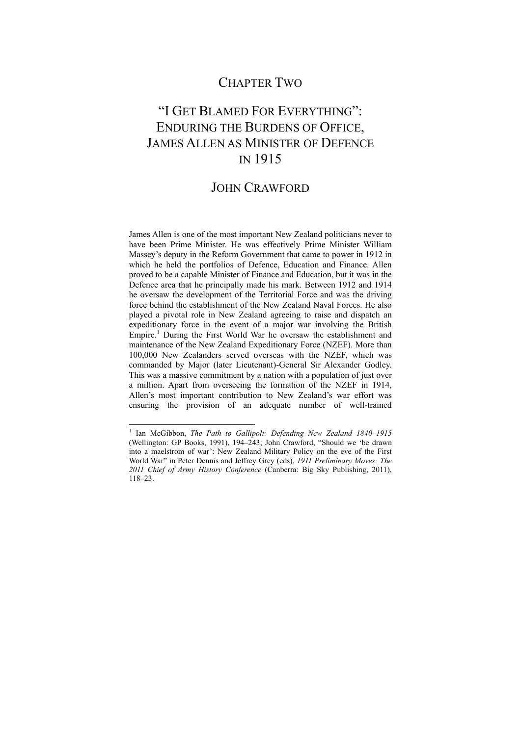### CHAPTER TWO

# "I GET BLAMED FOR EVERYTHING": ENDURING THE BURDENS OF OFFICE, JAMES ALLEN AS MINISTER OF DEFENCE IN 1915

### JOHN CRAWFORD

James Allen is one of the most important New Zealand politicians never to have been Prime Minister. He was effectively Prime Minister William Massey's deputy in the Reform Government that came to power in 1912 in which he held the portfolios of Defence, Education and Finance. Allen proved to be a capable Minister of Finance and Education, but it was in the Defence area that he principally made his mark. Between 1912 and 1914 he oversaw the development of the Territorial Force and was the driving force behind the establishment of the New Zealand Naval Forces. He also played a pivotal role in New Zealand agreeing to raise and dispatch an expeditionary force in the event of a major war involving the British Empire.<sup>1</sup> During the First World War he oversaw the establishment and maintenance of the New Zealand Expeditionary Force (NZEF). More than 100,000 New Zealanders served overseas with the NZEF, which was commanded by Major (later Lieutenant)-General Sir Alexander Godley. This was a massive commitment by a nation with a population of just over a million. Apart from overseeing the formation of the NZEF in 1914, Allen's most important contribution to New Zealand's war effort was ensuring the provision of an adequate number of well-trained

<sup>1</sup> Ian McGibbon, *The Path to Gallipoli: Defending New Zealand 1840–1915* (Wellington: GP Books, 1991), 194–243; John Crawford, "Should we 'be drawn into a maelstrom of war': New Zealand Military Policy on the eve of the First World War" in Peter Dennis and Jeffrey Grey (eds), *1911 Preliminary Moves: The 2011 Chief of Army History Conference* (Canberra: Big Sky Publishing, 2011), 118–23.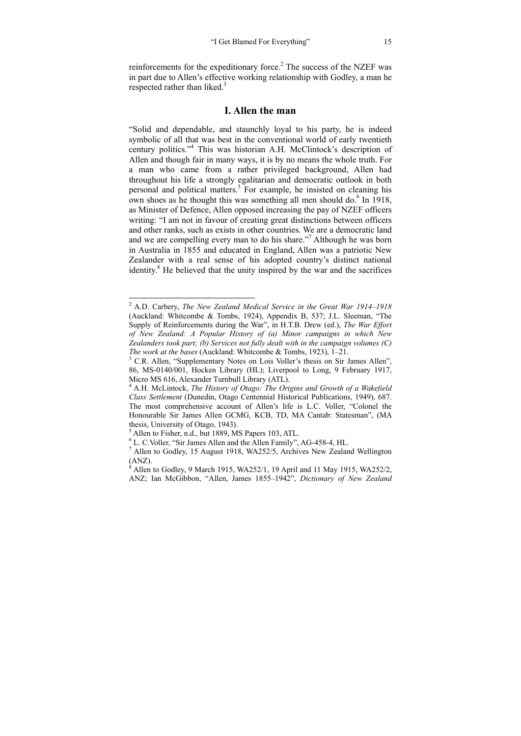reinforcements for the expeditionary force.<sup>2</sup> The success of the NZEF was in part due to Allen's effective working relationship with Godley, a man he respected rather than liked. $3$ 

#### **I. Allen the man**

"Solid and dependable, and staunchly loyal to his party, he is indeed symbolic of all that was best in the conventional world of early twentieth century politics."<sup>4</sup> This was historian A.H. McClintock's description of Allen and though fair in many ways, it is by no means the whole truth. For a man who came from a rather privileged background, Allen had throughout his life a strongly egalitarian and democratic outlook in both personal and political matters.<sup>5</sup> For example, he insisted on cleaning his own shoes as he thought this was something all men should do.<sup>6</sup> In 1918, as Minister of Defence, Allen opposed increasing the pay of NZEF officers writing: "I am not in favour of creating great distinctions between officers and other ranks, such as exists in other countries. We are a democratic land and we are compelling every man to do his share."<sup>7</sup> Although he was born in Australia in 1855 and educated in England, Allen was a patriotic New Zealander with a real sense of his adopted country's distinct national identity.<sup>8</sup> He believed that the unity inspired by the war and the sacrifices

 2 A.D. Carbery, *The New Zealand Medical Service in the Great War 1914–1918* (Auckland: Whitcombe & Tombs, 1924), Appendix B, 537; J.L. Sleeman, "The Supply of Reinforcements during the War", in H.T.B. Drew (ed.), *The War Effort of New Zealand: A Popular History of (a) Minor campaigns in which New Zealanders took part; (b) Services not fully dealt with in the campaign volumes (C) The work at the bases* (Auckland: Whitcombe & Tombs, 1923), 1–21.

 $3$  C.R. Allen, "Supplementary Notes on Lois Voller's thesis on Sir James Allen", 86, MS-0140/001, Hocken Library (HL); Liverpool to Long, 9 February 1917, Micro MS 616, Alexander Turnbull Library (ATL).

<sup>4</sup> A.H. McLintock, *The History of Otago: The Origins and Growth of a Wakefield Class Settlement* (Dunedin, Otago Centennial Historical Publications, 1949), 687. The most comprehensive account of Allen's life is L.C. Voller, "Colonel the Honourable Sir James Allen GCMG, KCB, TD, MA Cantab: Statesman", (MA thesis, University of Otago, 1943).

 $^5$  Allen to Fisher, n.d., but 1889, MS Papers 103, ATL.

 $<sup>6</sup>$  L. C. Voller, "Sir James Allen and the Allen Family", AG-458-4, HL.</sup>

 $^7$  Allen to Godley, 15 August 1918, WA252/5, Archives New Zealand Wellington (ANZ).

 $8$  Allen to Godley, 9 March 1915, WA252/1, 19 April and 11 May 1915, WA252/2, ANZ; Ian McGibbon, "Allen, James 1855–1942", *Dictionary of New Zealand*